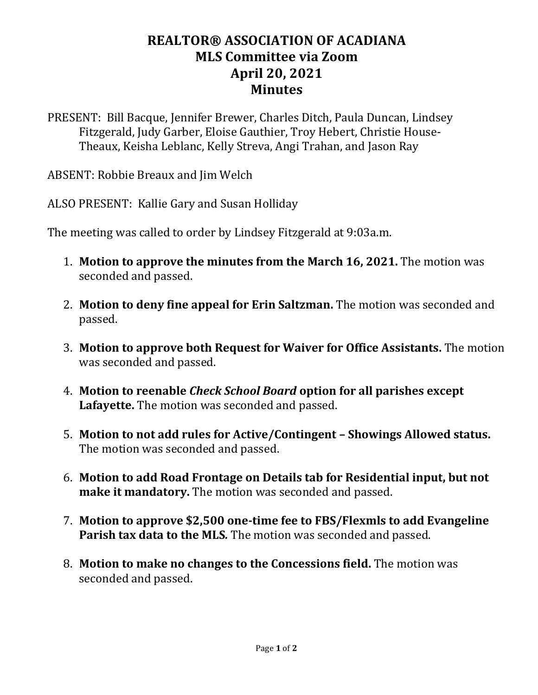## **REALTOR® ASSOCIATION OF ACADIANA MLS Committee via Zoom April 20, 2021 Minutes**

PRESENT: Bill Bacque, Jennifer Brewer, Charles Ditch, Paula Duncan, Lindsey Fitzgerald, Judy Garber, Eloise Gauthier, Troy Hebert, Christie House-Theaux, Keisha Leblanc, Kelly Streva, Angi Trahan, and Jason Ray

ABSENT: Robbie Breaux and Jim Welch

ALSO PRESENT: Kallie Gary and Susan Holliday

The meeting was called to order by Lindsey Fitzgerald at 9:03a.m.

- 1. **Motion to approve the minutes from the March 16, 2021.** The motion was seconded and passed.
- 2. **Motion to deny fine appeal for Erin Saltzman.** The motion was seconded and passed.
- 3. **Motion to approve both Request for Waiver for Office Assistants.** The motion was seconded and passed.
- 4. **Motion to reenable** *Check School Board* **option for all parishes except Lafayette.** The motion was seconded and passed.
- 5. **Motion to not add rules for Active/Contingent – Showings Allowed status.** The motion was seconded and passed.
- 6. **Motion to add Road Frontage on Details tab for Residential input, but not make it mandatory.** The motion was seconded and passed.
- 7. **Motion to approve \$2,500 one-time fee to FBS/Flexmls to add Evangeline Parish tax data to the MLS***.* The motion was seconded and passed.
- 8. **Motion to make no changes to the Concessions field.** The motion was seconded and passed.